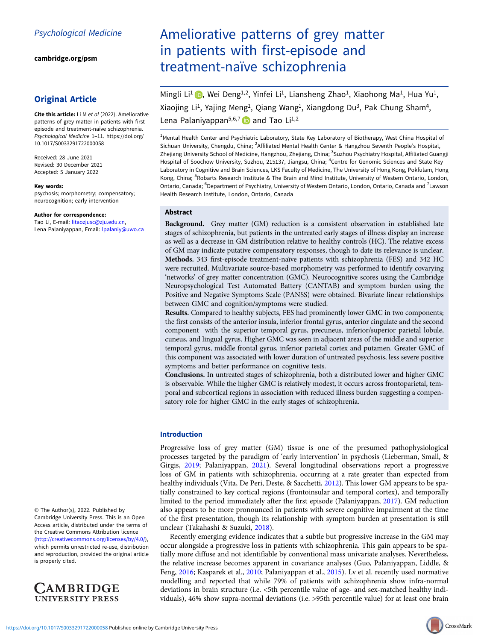[cambridge.org/psm](https://www.cambridge.org/psm)

## Original Article

Cite this article: Li M et al (2022). Ameliorative patterns of grey matter in patients with firstepisode and treatment-naïve schizophrenia. Psychological Medicine 1–11. [https://doi.org/](https://doi.org/10.1017/S0033291722000058) [10.1017/S0033291722000058](https://doi.org/10.1017/S0033291722000058)

Received: 28 June 2021 Revised: 30 December 2021 Accepted: 5 January 2022

#### Key words:

psychosis; morphometry; compensatory; neurocognition; early intervention

#### Author for correspondence:

Tao Li, E-mail: [litaozjusc@zju.edu.cn,](mailto:litaozjusc@zju.edu.cn) Lena Palaniyappan, Email: [lpalaniy@uwo.ca](mailto:lpalaniy@uwo.ca)

© The Author(s), 2022. Published by Cambridge University Press. This is an Open Access article, distributed under the terms of the Creative Commons Attribution licence ([http://creativecommons.org/licenses/by/4.0/\)](http://creativecommons.org/licenses/by/4.0/), which permits unrestricted re-use, distribution and reproduction, provided the original article is properly cited.



# Ameliorative patterns of grey matter in patients with first-episode and treatment-naïve schizophrenia

Mingli Li<sup>1</sup> (b)[,](https://orcid.org/0000-0002-0818-4460) Wei Deng<sup>1,2</sup>, Yinfei Li<sup>1</sup>, Liansheng Zhao<sup>1</sup>, Xiaohong Ma<sup>1</sup>, Hua Yu<sup>1</sup>, Xiaojing Li<sup>1</sup>, Yajing Meng<sup>1</sup>, Qiang Wang<sup>1</sup>, Xiangdong Du<sup>3</sup>, Pak Chung Sham<sup>4</sup>, Lena Palaniyappan<sup>5,6,7</sup> and Tao Li<sup>1,2</sup>

<sup>1</sup>Mental Health Center and Psychiatric Laboratory, State Key Laboratory of Biotherapy, West China Hospital of Sichuan University, Chengdu, China; <sup>2</sup>Affiliated Mental Health Center & Hangzhou Seventh People's Hospital, Zhejiang University School of Medicine, Hangzhou, Zhejiang, China; <sup>3</sup>Suzhou Psychiatry Hospital, Affiliated Guangji Hospital of Soochow University, Suzhou, 215137, Jiangsu, China; <sup>4</sup>Centre for Genomic Sciences and State Key Laboratory in Cognitive and Brain Sciences, LKS Faculty of Medicine, The University of Hong Kong, Pokfulam, Hong Kong, China; <sup>5</sup>Robarts Research Institute & The Brain and Mind Institute, University of Western Ontario, London, Ontario, Canada; <sup>6</sup>Department of Psychiatry, University of Western Ontario, London, Ontario, Canada and <sup>7</sup>Lawson Health Research Institute, London, Ontario, Canada

## Abstract

Background. Grey matter (GM) reduction is a consistent observation in established late stages of schizophrenia, but patients in the untreated early stages of illness display an increase as well as a decrease in GM distribution relative to healthy controls (HC). The relative excess of GM may indicate putative compensatory responses, though to date its relevance is unclear. Methods. 343 first-episode treatment-naïve patients with schizophrenia (FES) and 342 HC were recruited. Multivariate source-based morphometry was performed to identify covarying 'networks' of grey matter concentration (GMC). Neurocognitive scores using the Cambridge Neuropsychological Test Automated Battery (CANTAB) and symptom burden using the Positive and Negative Symptoms Scale (PANSS) were obtained. Bivariate linear relationships between GMC and cognition/symptoms were studied.

Results. Compared to healthy subjects, FES had prominently lower GMC in two components; the first consists of the anterior insula, inferior frontal gyrus, anterior cingulate and the second component with the superior temporal gyrus, precuneus, inferior/superior parietal lobule, cuneus, and lingual gyrus. Higher GMC was seen in adjacent areas of the middle and superior temporal gyrus, middle frontal gyrus, inferior parietal cortex and putamen. Greater GMC of this component was associated with lower duration of untreated psychosis, less severe positive symptoms and better performance on cognitive tests.

Conclusions. In untreated stages of schizophrenia, both a distributed lower and higher GMC is observable. While the higher GMC is relatively modest, it occurs across frontoparietal, temporal and subcortical regions in association with reduced illness burden suggesting a compensatory role for higher GMC in the early stages of schizophrenia.

## Introduction

Progressive loss of grey matter (GM) tissue is one of the presumed pathophysiological processes targeted by the paradigm of 'early intervention' in psychosis (Lieberman, Small, & Girgis, [2019;](#page-9-0) Palaniyappan, [2021](#page-9-0)). Several longitudinal observations report a progressive loss of GM in patients with schizophrenia, occurring at a rate greater than expected from healthy individuals (Vita, De Peri, Deste, & Sacchetti, [2012](#page-10-0)). This lower GM appears to be spatially constrained to key cortical regions (frontoinsular and temporal cortex), and temporally limited to the period immediately after the first episode (Palaniyappan, [2017\)](#page-9-0). GM reduction also appears to be more pronounced in patients with severe cognitive impairment at the time of the first presentation, though its relationship with symptom burden at presentation is still unclear (Takahashi & Suzuki, [2018\)](#page-10-0).

Recently emerging evidence indicates that a subtle but progressive increase in the GM may occur alongside a progressive loss in patients with schizophrenia. This gain appears to be spatially more diffuse and not identifiable by conventional mass univariate analyses. Nevertheless, the relative increase becomes apparent in covariance analyses (Guo, Palaniyappan, Liddle, & Feng, [2016;](#page-9-0) Kasparek et al., [2010](#page-9-0); Palaniyappan et al., [2015](#page-9-0)). Lv et al. recently used normative modelling and reported that while 79% of patients with schizophrenia show infra-normal deviations in brain structure (i.e. <5th percentile value of age- and sex-matched healthy individuals), 46% show supra-normal deviations (i.e. >95th percentile value) for at least one brain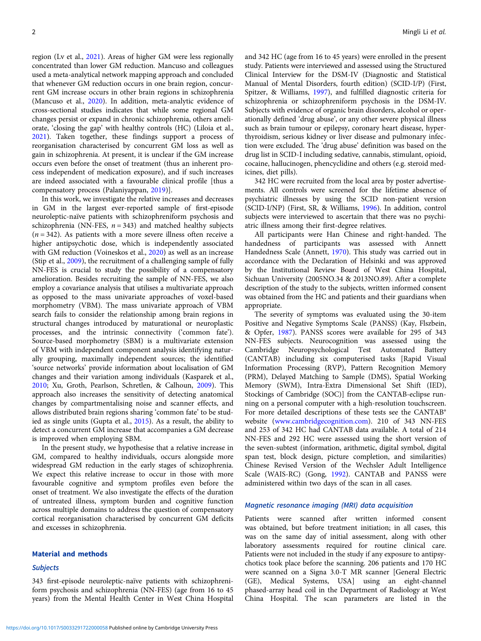region (Lv et al., [2021\)](#page-9-0). Areas of higher GM were less regionally concentrated than lower GM reduction. Mancuso and colleagues used a meta-analytical network mapping approach and concluded that whenever GM reduction occurs in one brain region, concurrent GM increase occurs in other brain regions in schizophrenia (Mancuso et al., [2020](#page-9-0)). In addition, meta-analytic evidence of cross-sectional studies indicates that while some regional GM changes persist or expand in chronic schizophrenia, others ameliorate, 'closing the gap' with healthy controls (HC) (Liloia et al., [2021\)](#page-9-0). Taken together, these findings support a process of reorganisation characterised by concurrent GM loss as well as gain in schizophrenia. At present, it is unclear if the GM increase occurs even before the onset of treatment (thus an inherent process independent of medication exposure), and if such increases are indeed associated with a favourable clinical profile [thus a compensatory process (Palaniyappan, [2019](#page-9-0))].

In this work, we investigate the relative increases and decreases in GM in the largest ever-reported sample of first-episode neuroleptic-naïve patients with schizophreniform psychosis and schizophrenia (NN-FES,  $n = 343$ ) and matched healthy subjects  $(n = 342)$ . As patients with a more severe illness often receive a higher antipsychotic dose, which is independently associated with GM reduction (Voineskos et al., [2020](#page-10-0)) as well as an increase (Stip et al., [2009](#page-10-0)), the recruitment of a challenging sample of fully NN-FES is crucial to study the possibility of a compensatory amelioration. Besides recruiting the sample of NN-FES, we also employ a covariance analysis that utilises a multivariate approach as opposed to the mass univariate approaches of voxel-based morphometry (VBM). The mass univariate approach of VBM search fails to consider the relationship among brain regions in structural changes introduced by maturational or neuroplastic processes, and the intrinsic connectivity ('common fate'). Source-based morphometry (SBM) is a multivariate extension of VBM with independent component analysis identifying naturally grouping, maximally independent sources; the identified 'source networks' provide information about localisation of GM changes and their variation among individuals (Kasparek et al., [2010;](#page-9-0) Xu, Groth, Pearlson, Schretlen, & Calhoun, [2009](#page-10-0)). This approach also increases the sensitivity of detecting anatomical changes by compartmentalising noise and scanner effects, and allows distributed brain regions sharing 'common fate' to be studied as single units (Gupta et al., [2015](#page-9-0)). As a result, the ability to detect a concurrent GM increase that accompanies a GM decrease is improved when employing SBM.

In the present study, we hypothesise that a relative increase in GM, compared to healthy individuals, occurs alongside more widespread GM reduction in the early stages of schizophrenia. We expect this relative increase to occur in those with more favourable cognitive and symptom profiles even before the onset of treatment. We also investigate the effects of the duration of untreated illness, symptom burden and cognitive function across multiple domains to address the question of compensatory cortical reorganisation characterised by concurrent GM deficits and excesses in schizophrenia.

## Material and methods

## **Subjects**

343 first-episode neuroleptic-naïve patients with schizophreniform psychosis and schizophrenia (NN-FES) (age from 16 to 45 years) from the Mental Health Center in West China Hospital and 342 HC (age from 16 to 45 years) were enrolled in the present study. Patients were interviewed and assessed using the Structured Clinical Interview for the DSM-IV (Diagnostic and Statistical Manual of Mental Disorders, fourth edition) (SCID-I/P) (First, Spitzer, & Williams, [1997\)](#page-9-0), and fulfilled diagnostic criteria for schizophrenia or schizophreniform psychosis in the DSM-IV. Subjects with evidence of organic brain disorders, alcohol or operationally defined 'drug abuse', or any other severe physical illness such as brain tumour or epilepsy, coronary heart disease, hyperthyroidism, serious kidney or liver disease and pulmonary infection were excluded. The 'drug abuse' definition was based on the drug list in SCID-I including sedative, cannabis, stimulant, opioid, cocaine, hallucinogen, phencyclidine and others (e.g. steroid medicines, diet pills).

342 HC were recruited from the local area by poster advertisements. All controls were screened for the lifetime absence of psychiatric illnesses by using the SCID non-patient version (SCID-I/NP) (First, SR, & Williams, [1996\)](#page-9-0). In addition, control subjects were interviewed to ascertain that there was no psychiatric illness among their first-degree relatives.

All participants were Han Chinese and right-handed. The handedness of participants was assessed with Annett Handedness Scale (Annett, [1970](#page-8-0)). This study was carried out in accordance with the Declaration of Helsinki and was approved by the Institutional Review Board of West China Hospital, Sichuan University (2005NO.34 & 2013NO.89). After a complete description of the study to the subjects, written informed consent was obtained from the HC and patients and their guardians when appropriate.

The severity of symptoms was evaluated using the 30-item Positive and Negative Symptoms Scale (PANSS) (Kay, Flszbein, & Opfer, [1987](#page-9-0)). PANSS scores were available for 295 of 343 NN-FES subjects. Neurocognition was assessed using the Cambridge Neuropsychological Test Automated Battery (CANTAB) including six computerised tasks [Rapid Visual Information Processing (RVP), Pattern Recognition Memory (PRM), Delayed Matching to Sample (DMS), Spatial Working Memory (SWM), Intra-Extra Dimensional Set Shift (IED), Stockings of Cambridge (SOC)] from the CANTAB-eclipse running on a personal computer with a high-resolution touchscreen. For more detailed descriptions of these tests see the CANTAB® website [\(www.cambridgecognition.com\)](https://www.cambridgecognition.com). 210 of 343 NN-FES and 253 of 342 HC had CANTAB data available. A total of 214 NN-FES and 292 HC were assessed using the short version of the seven-subtest (information, arithmetic, digital symbol, digital span test, block design, picture completion, and similarities) Chinese Revised Version of the Wechsler Adult Intelligence Scale (WAIS-RC) (Gong, [1992](#page-9-0)). CANTAB and PANSS were administered within two days of the scan in all cases.

## Magnetic resonance imaging (MRI) data acquisition

Patients were scanned after written informed consent was obtained, but before treatment initiation; in all cases, this was on the same day of initial assessment, along with other laboratory assessments required for routine clinical care. Patients were not included in the study if any exposure to antipsychotics took place before the scanning. 206 patients and 170 HC were scanned on a Signa 3.0-T MR scanner [General Electric (GE), Medical Systems, USA] using an eight-channel phased-array head coil in the Department of Radiology at West China Hospital. The scan parameters are listed in the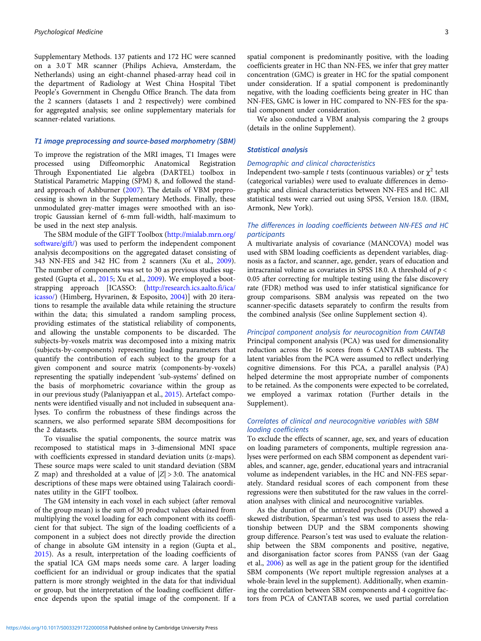Supplementary Methods. 137 patients and 172 HC were scanned on a 3.0 T MR scanner (Philips Achieva, Amsterdam, the Netherlands) using an eight-channel phased-array head coil in the department of Radiology at West China Hospital Tibet People's Government in Chengdu Office Branch. The data from the 2 scanners (datasets 1 and 2 respectively) were combined for aggregated analysis; see online supplementary materials for scanner-related variations.

## T1 image preprocessing and source-based morphometry (SBM)

To improve the registration of the MRI images, T1 Images were processed using Diffeomorphic Anatomical Registration Through Exponentiated Lie algebra (DARTEL) toolbox in Statistical Parametric Mapping (SPM) 8, and followed the standard approach of Ashburner [\(2007\)](#page-8-0). The details of VBM preprocessing is shown in the Supplementary Methods. Finally, these unmodulated grey-matter images were smoothed with an isotropic Gaussian kernel of 6-mm full-width, half-maximum to be used in the next step analysis.

The SBM module of the GIFT Toolbox [\(http://mialab.mrn.org/](http://mialab.mrn.org/software/gift/) [software/gift/\)](http://mialab.mrn.org/software/gift/) was used to perform the independent component analysis decompositions on the aggregated dataset consisting of 343 NN-FES and 342 HC from 2 scanners (Xu et al., [2009\)](#page-10-0). The number of components was set to 30 as previous studies suggested (Gupta et al., [2015](#page-9-0); Xu et al., [2009\)](#page-10-0). We employed a bootstrapping approach [ICASSO: [\(http://research.ics.aalto.fi/ica/](http://research.ics.aalto.fi/ica/icasso/) [icasso/\)](http://research.ics.aalto.fi/ica/icasso/) (Himberg, Hyvarinen, & Esposito, [2004](#page-9-0))] with 20 iterations to resample the available data while retaining the structure within the data; this simulated a random sampling process, providing estimates of the statistical reliability of components, and allowing the unstable components to be discarded. The subjects-by-voxels matrix was decomposed into a mixing matrix (subjects-by-components) representing loading parameters that quantify the contribution of each subject to the group for a given component and source matrix (components-by-voxels) representing the spatially independent 'sub-systems' defined on the basis of morphometric covariance within the group as in our previous study (Palaniyappan et al., [2015](#page-9-0)). Artefact components were identified visually and not included in subsequent analyses. To confirm the robustness of these findings across the scanners, we also performed separate SBM decompositions for the 2 datasets.

To visualise the spatial components, the source matrix was recomposed to statistical maps in 3-dimensional MNI space with coefficients expressed in standard deviation units (z-maps). These source maps were scaled to unit standard deviation (SBM Z map) and thresholded at a value of  $|Z| > 3:0$ . The anatomical descriptions of these maps were obtained using Talairach coordinates utility in the GIFT toolbox.

The GM intensity in each voxel in each subject (after removal of the group mean) is the sum of 30 product values obtained from multiplying the voxel loading for each component with its coefficient for that subject. The sign of the loading coefficients of a component in a subject does not directly provide the direction of change in absolute GM intensity in a region (Gupta et al., [2015\)](#page-9-0). As a result, interpretation of the loading coefficients of the spatial ICA GM maps needs some care. A larger loading coefficient for an individual or group indicates that the spatial pattern is more strongly weighted in the data for that individual or group, but the interpretation of the loading coefficient difference depends upon the spatial image of the component. If a

spatial component is predominantly positive, with the loading coefficients greater in HC than NN-FES, we infer that grey matter concentration (GMC) is greater in HC for the spatial component under consideration. If a spatial component is predominantly negative, with the loading coefficients being greater in HC than NN-FES, GMC is lower in HC compared to NN-FES for the spatial component under consideration.

We also conducted a VBM analysis comparing the 2 groups (details in the online Supplement).

## Statistical analysis

## Demographic and clinical characteristics

Independent two-sample t tests (continuous variables) or  $\chi^2$  tests (categorical variables) were used to evaluate differences in demographic and clinical characteristics between NN-FES and HC. All statistical tests were carried out using SPSS, Version 18.0. (IBM, Armonk, New York).

## The differences in loading coefficients between NN-FES and HC participants

A multivariate analysis of covariance (MANCOVA) model was used with SBM loading coefficients as dependent variables, diagnosis as a factor, and scanner, age, gender, years of education and intracranial volume as covariates in SPSS 18.0. A threshold of  $p <$ 0.05 after correcting for multiple testing using the false discovery rate (FDR) method was used to infer statistical significance for group comparisons. SBM analysis was repeated on the two scanner-specific datasets separately to confirm the results from the combined analysis (See online Supplement section 4).

## Principal component analysis for neurocognition from CANTAB

Principal component analysis (PCA) was used for dimensionality reduction across the 16 scores from 6 CANTAB subtests. The latent variables from the PCA were assumed to reflect underlying cognitive dimensions. For this PCA, a parallel analysis (PA) helped determine the most appropriate number of components to be retained. As the components were expected to be correlated, we employed a varimax rotation (Further details in the Supplement).

## Correlates of clinical and neurocognitive variables with SBM loading coefficients

To exclude the effects of scanner, age, sex, and years of education on loading parameters of components, multiple regression analyses were performed on each SBM component as dependent variables, and scanner, age, gender, educational years and intracranial volume as independent variables, in the HC and NN-FES separately. Standard residual scores of each component from these regressions were then substituted for the raw values in the correlation analyses with clinical and neurocognitive variables.

As the duration of the untreated psychosis (DUP) showed a skewed distribution, Spearman's test was used to assess the relationship between DUP and the SBM components showing group difference. Pearson's test was used to evaluate the relationship between the SBM components and positive, negative, and disorganisation factor scores from PANSS (van der Gaag et al., [2006](#page-10-0)) as well as age in the patient group for the identified SBM components (We report multiple regression analyses at a whole-brain level in the supplement). Additionally, when examining the correlation between SBM components and 4 cognitive factors from PCA of CANTAB scores, we used partial correlation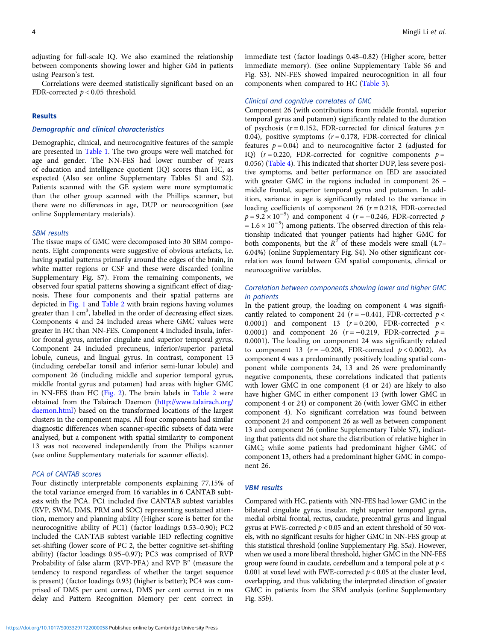adjusting for full-scale IQ. We also examined the relationship between components showing lower and higher GM in patients using Pearson's test.

Correlations were deemed statistically significant based on an FDR-corrected  $p < 0.05$  threshold.

## Results

## Demographic and clinical characteristics

Demographic, clinical, and neurocognitive features of the sample are presented in [Table 1.](#page-4-0) The two groups were well matched for age and gender. The NN-FES had lower number of years of education and intelligence quotient (IQ) scores than HC, as expected (Also see online Supplementary Tables S1 and S2). Patients scanned with the GE system were more symptomatic than the other group scanned with the Phillips scanner, but there were no differences in age, DUP or neurocognition (see online Supplementary materials).

#### SBM results

The tissue maps of GMC were decomposed into 30 SBM components. Eight components were suggestive of obvious artefacts, i.e. having spatial patterns primarily around the edges of the brain, in white matter regions or CSF and these were discarded (online Supplementary Fig. S7). From the remaining components, we observed four spatial patterns showing a significant effect of diagnosis. These four components and their spatial patterns are depicted in [Fig. 1](#page-5-0) and [Table 2](#page-6-0) with brain regions having volumes greater than 1 cm<sup>3</sup>, labelled in the order of decreasing effect sizes. Components 4 and 24 included areas where GMC values were greater in HC than NN-FES. Component 4 included insula, inferior frontal gyrus, anterior cingulate and superior temporal gyrus. Component 24 included precuneus, inferior/superior parietal lobule, cuneus, and lingual gyrus. In contrast, component 13 (including cerebellar tonsil and inferior semi-lunar lobule) and component 26 (including middle and superior temporal gyrus, middle frontal gyrus and putamen) had areas with higher GMC in NN-FES than HC ([Fig. 2\)](#page-7-0). The brain labels in [Table 2](#page-6-0) were obtained from the Talairach Daemon ([http://www.talairach.org/](http://www.talairach.org/daemon.html) [daemon.html\)](http://www.talairach.org/daemon.html) based on the transformed locations of the largest clusters in the component maps. All four components had similar diagnostic differences when scanner-specific subsets of data were analysed, but a component with spatial similarity to component 13 was not recovered independently from the Philips scanner (see online Supplementary materials for scanner effects).

## PCA of CANTAB scores

Four distinctly interpretable components explaining 77.15% of the total variance emerged from 16 variables in 6 CANTAB subtests with the PCA. PC1 included five CANTAB subtest variables (RVP, SWM, DMS, PRM and SOC) representing sustained attention, memory and planning ability (Higher score is better for the neurocognitive ability of PC1) (factor loadings 0.53–0.90); PC2 included the CANTAB subtest variable IED reflecting cognitive set-shifting (lower score of PC 2, the better cognitive set-shifting ability) (factor loadings 0.95–0.97); PC3 was comprised of RVP Probability of false alarm (RVP-PFA) and RVP B<sup>"</sup> (measure the tendency to respond regardless of whether the target sequence is present) (factor loadings 0.93) (higher is better); PC4 was comprised of DMS per cent correct, DMS per cent correct in  $n$  ms delay and Pattern Recognition Memory per cent correct in

immediate test (factor loadings 0.48–0.82) (Higher score, better immediate memory). (See online Supplementary Table S6 and Fig. S3). NN-FES showed impaired neurocognition in all four components when compared to HC ([Table 3](#page-7-0)).

## Clinical and cognitive correlates of GMC

Component 26 (with contributions from middle frontal, superior temporal gyrus and putamen) significantly related to the duration of psychosis ( $r = 0.152$ , FDR-corrected for clinical features  $p =$ 0.04), positive symptoms  $(r = 0.178, FDR-corrected for clinical)$ features  $p = 0.04$ ) and to neurocognitive factor 2 (adjusted for IQ) ( $r = 0.220$ , FDR-corrected for cognitive components  $p =$ 0.056) [\(Table 4](#page-7-0)). This indicated that shorter DUP, less severe positive symptoms, and better performance on IED are associated with greater GMC in the regions included in component 26 – middle frontal, superior temporal gyrus and putamen. In addition, variance in age is significantly related to the variance in loading coefficients of component 26 ( $r = 0.218$ , FDR-corrected  $p = 9.2 \times 10^{-5}$ ) and component 4 (r = -0.246, FDR-corrected p  $= 1.6 \times 10^{-5}$ ) among patients. The observed direction of this relationship indicated that younger patients had higher GMC for both components, but the  $R^2$  of these models were small (4.7– 6.04%) (online Supplementary Fig. S4). No other significant correlation was found between GM spatial components, clinical or neurocognitive variables.

## Correlation between components showing lower and higher GMC in patients

In the patient group, the loading on component 4 was significantly related to component 24 ( $r = -0.441$ , FDR-corrected  $p <$ 0.0001) and component 13 ( $r = 0.200$ , FDR-corrected  $p <$ 0.0001) and component 26 ( $r = -0.219$ , FDR-corrected  $p =$ 0.0001). The loading on component 24 was significantly related to component 13 ( $r = -0.208$ , FDR-corrected  $p < 0.0002$ ). As component 4 was a predominantly positively loading spatial component while components 24, 13 and 26 were predominantly negative components, these correlations indicated that patients with lower GMC in one component (4 or 24) are likely to also have higher GMC in either component 13 (with lower GMC in component 4 or 24) or component 26 (with lower GMC in either component 4). No significant correlation was found between component 24 and component 26 as well as between component 13 and component 26 (online Supplementary Table S7), indicating that patients did not share the distribution of relative higher in GMC; while some patients had predominant higher GMC of component 13, others had a predominant higher GMC in component 26.

## VBM results

Compared with HC, patients with NN-FES had lower GMC in the bilateral cingulate gyrus, insular, right superior temporal gyrus, medial orbital frontal, rectus, caudate, precentral gyrus and lingual gyrus at FWE-corrected  $p < 0.05$  and an extent threshold of 50 voxels, with no significant results for higher GMC in NN-FES group at this statistical threshold (online Supplementary Fig. S5a). However, when we used a more liberal threshold, higher GMC in the NN-FES group were found in caudate, cerebellum and a temporal pole at  $p <$ 0.001 at voxel level with FWE-corrected  $p < 0.05$  at the cluster level, overlapping, and thus validating the interpreted direction of greater GMC in patients from the SBM analysis (online Supplementary Fig. S5b).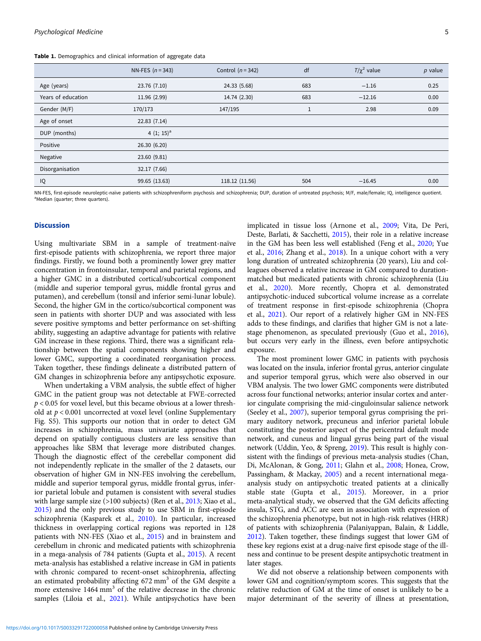<span id="page-4-0"></span>Table 1. Demographics and clinical information of aggregate data

|                    | NN-FES $(n = 343)$ | Control $(n = 342)$ | df  | $T/\chi^2$ value | $p$ value |
|--------------------|--------------------|---------------------|-----|------------------|-----------|
| Age (years)        | 23.76 (7.10)       | 24.33 (5.68)        | 683 | $-1.16$          | 0.25      |
| Years of education | 11.96 (2.99)       | 14.74 (2.30)        | 683 | $-12.16$         | 0.00      |
| Gender (M/F)       | 170/173            | 147/195             | Ŧ   | 2.98             | 0.09      |
| Age of onset       | 22.83(7.14)        |                     |     |                  |           |
| DUP (months)       | 4 $(1; 15)^a$      |                     |     |                  |           |
| Positive           | 26.30 (6.20)       |                     |     |                  |           |
| Negative           | 23.60 (9.81)       |                     |     |                  |           |
| Disorganisation    | 32.17 (7.66)       |                     |     |                  |           |
| IQ                 | 99.65 (13.63)      | 118.12 (11.56)      | 504 | $-16.45$         | 0.00      |

NN-FES, first-episode neuroleptic-naïve patients with schizophreniform psychosis and schizophrenia; DUP, duration of untreated psychosis; M/F, male/female; IO, intelligence quotient. <sup>a</sup> Median (quarter: three quarters)

#### **Discussion**

Using multivariate SBM in a sample of treatment-naïve first-episode patients with schizophrenia, we report three major findings. Firstly, we found both a prominently lower grey matter concentration in frontoinsular, temporal and parietal regions, and a higher GMC in a distributed cortical/subcortical component (middle and superior temporal gyrus, middle frontal gyrus and putamen), and cerebellum (tonsil and inferior semi-lunar lobule). Second, the higher GM in the cortico/subcortical component was seen in patients with shorter DUP and was associated with less severe positive symptoms and better performance on set-shifting ability, suggesting an adaptive advantage for patients with relative GM increase in these regions. Third, there was a significant relationship between the spatial components showing higher and lower GMC, supporting a coordinated reorganisation process. Taken together, these findings delineate a distributed pattern of GM changes in schizophrenia before any antipsychotic exposure.

When undertaking a VBM analysis, the subtle effect of higher GMC in the patient group was not detectable at FWE-corrected  $p < 0.05$  for voxel level, but this became obvious at a lower threshold at p < 0.001 uncorrected at voxel level (online Supplementary Fig. S5). This supports our notion that in order to detect GM increases in schizophrenia, mass univariate approaches that depend on spatially contiguous clusters are less sensitive than approaches like SBM that leverage more distributed changes. Though the diagnostic effect of the cerebellar component did not independently replicate in the smaller of the 2 datasets, our observation of higher GM in NN-FES involving the cerebellum, middle and superior temporal gyrus, middle frontal gyrus, inferior parietal lobule and putamen is consistent with several studies with large sample size (>100 subjects) (Ren et al., [2013;](#page-9-0) Xiao et al., [2015\)](#page-10-0) and the only previous study to use SBM in first-episode schizophrenia (Kasparek et al., [2010](#page-9-0)). In particular, increased thickness in overlapping cortical regions was reported in 128 patients with NN-FES (Xiao et al., [2015](#page-10-0)) and in brainstem and cerebellum in chronic and medicated patients with schizophrenia in a mega-analysis of 784 patients (Gupta et al., [2015](#page-9-0)). A recent meta-analysis has established a relative increase in GM in patients with chronic compared to recent-onset schizophrenia, affecting an estimated probability affecting 672 mm<sup>3</sup> of the GM despite a more extensive 1464 mm<sup>3</sup> of the relative decrease in the chronic samples (Liloia et al., [2021\)](#page-9-0). While antipsychotics have been

implicated in tissue loss (Arnone et al., [2009](#page-8-0); Vita, De Peri, Deste, Barlati, & Sacchetti, [2015\)](#page-10-0), their role in a relative increase in the GM has been less well established (Feng et al., [2020](#page-9-0); Yue et al., [2016;](#page-10-0) Zhang et al., [2018](#page-10-0)). In a unique cohort with a very long duration of untreated schizophrenia (20 years), Liu and colleagues observed a relative increase in GM compared to durationmatched but medicated patients with chronic schizophrenia (Liu et al., [2020](#page-9-0)). More recently, Chopra et al. demonstrated antipsychotic-induced subcortical volume increase as a correlate of treatment response in first-episode schizophrenia (Chopra et al., [2021](#page-8-0)). Our report of a relatively higher GM in NN-FES adds to these findings, and clarifies that higher GM is not a latestage phenomenon, as speculated previously (Guo et al., [2016](#page-9-0)), but occurs very early in the illness, even before antipsychotic exposure.

The most prominent lower GMC in patients with psychosis was located on the insula, inferior frontal gyrus, anterior cingulate and superior temporal gyrus, which were also observed in our VBM analysis. The two lower GMC components were distributed across four functional networks; anterior insular cortex and anterior cingulate comprising the mid-cinguloinsular salience network (Seeley et al., [2007\)](#page-10-0), superior temporal gyrus comprising the primary auditory network, precuneus and inferior parietal lobule constituting the posterior aspect of the pericentral default mode network, and cuneus and lingual gyrus being part of the visual network (Uddin, Yeo, & Spreng, [2019](#page-10-0)). This result is highly consistent with the findings of previous meta-analysis studies (Chan, Di, McAlonan, & Gong, [2011;](#page-8-0) Glahn et al., [2008;](#page-9-0) Honea, Crow, Passingham, & Mackay, [2005](#page-9-0)) and a recent international megaanalysis study on antipsychotic treated patients at a clinically stable state (Gupta et al., [2015](#page-9-0)). Moreover, in a prior meta-analytical study, we observed that the GM deficits affecting insula, STG, and ACC are seen in association with expression of the schizophrenia phenotype, but not in high-risk relatives (HRR) of patients with schizophrenia (Palaniyappan, Balain, & Liddle, [2012](#page-9-0)). Taken together, these findings suggest that lower GM of these key regions exist at a drug-naive first episode stage of the illness and continue to be present despite antipsychotic treatment in later stages.

We did not observe a relationship between components with lower GM and cognition/symptom scores. This suggests that the relative reduction of GM at the time of onset is unlikely to be a major determinant of the severity of illness at presentation,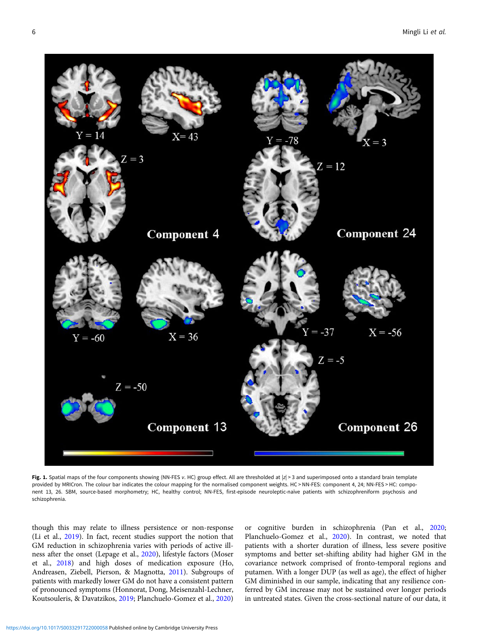<span id="page-5-0"></span>

Fig. 1. Spatial maps of the four components showing (NN-FES v. HC) group effect. All are thresholded at  $|z|$  > 3 and superimposed onto a standard brain template provided by MRICron. The colour bar indicates the colour mapping for the normalised component weights. HC > NN-FES: component 4, 24; NN-FES > HC: component 13, 26. SBM, source-based morphometry; HC, healthy control; NN-FES, first-episode neuroleptic-naïve patients with schizophreniform psychosis and schizophrenia.

though this may relate to illness persistence or non-response (Li et al., [2019](#page-9-0)). In fact, recent studies support the notion that GM reduction in schizophrenia varies with periods of active illness after the onset (Lepage et al., [2020](#page-9-0)), lifestyle factors (Moser et al., [2018](#page-9-0)) and high doses of medication exposure (Ho, Andreasen, Ziebell, Pierson, & Magnotta, [2011](#page-9-0)). Subgroups of patients with markedly lower GM do not have a consistent pattern of pronounced symptoms (Honnorat, Dong, Meisenzahl-Lechner, Koutsouleris, & Davatzikos, [2019](#page-9-0); Planchuelo-Gomez et al., [2020\)](#page-9-0)

or cognitive burden in schizophrenia (Pan et al., [2020;](#page-9-0) Planchuelo-Gomez et al., [2020\)](#page-9-0). In contrast, we noted that patients with a shorter duration of illness, less severe positive symptoms and better set-shifting ability had higher GM in the covariance network comprised of fronto-temporal regions and putamen. With a longer DUP (as well as age), the effect of higher GM diminished in our sample, indicating that any resilience conferred by GM increase may not be sustained over longer periods in untreated states. Given the cross-sectional nature of our data, it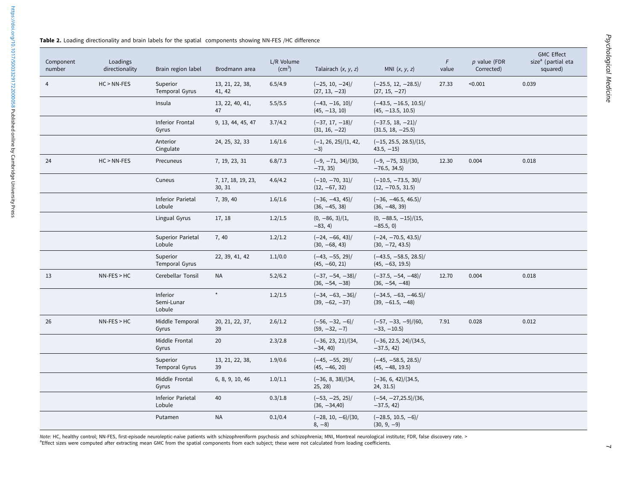<span id="page-6-0"></span>

|  |  |  |  | Table 2. Loading directionality and brain labels for the spatial components showing NN-FES /HC difference |  |
|--|--|--|--|-----------------------------------------------------------------------------------------------------------|--|
|--|--|--|--|-----------------------------------------------------------------------------------------------------------|--|

| Component<br>number | Loadings<br>directionality | Brain region label                 | Brodmann area                | L/R Volume<br>$\text{(cm}^3)$ | Talairach $(x, y, z)$                 | MNI $(x, y, z)$                                 | F<br>value | $p$ value (FDR<br>Corrected) | <b>GMC Effect</b><br>size <sup>a</sup> (partial eta<br>squared) |
|---------------------|----------------------------|------------------------------------|------------------------------|-------------------------------|---------------------------------------|-------------------------------------------------|------------|------------------------------|-----------------------------------------------------------------|
| 4                   | $HC > NN-FES$              | Superior<br>Temporal Gyrus         | 13, 21, 22, 38,<br>41, 42    | 6.5/4.9                       | $(-25, 10, -24)$<br>$(27, 13, -23)$   | $(-25.5, 12, -28.5)$ /<br>$(27, 15, -27)$       | 27.33      | < 0.001                      | 0.039                                                           |
|                     |                            | Insula                             | 13, 22, 40, 41,<br>47        | 5.5/5.5                       | $(-43, -16, 10)$ /<br>$(45, -13, 10)$ | $(-43.5, -16.5, 10.5)$ /<br>$(45, -13.5, 10.5)$ |            |                              |                                                                 |
|                     |                            | Inferior Frontal<br>Gyrus          | 9, 13, 44, 45, 47            | 3.7/4.2                       | $(-37, 17, -18)$ /<br>$(31, 16, -22)$ | $(-37.5, 18, -21)$<br>$(31.5, 18, -25.5)$       |            |                              |                                                                 |
|                     |                            | Anterior<br>Cingulate              | 24, 25, 32, 33               | 1.6/1.6                       | $(-1, 26, 25)/(1, 42,$<br>$-3)$       | $(-15, 25.5, 28.5)/(15,$<br>$43.5, -15$         |            |                              |                                                                 |
| 24                  | $HC > NN-FES$              | Precuneus                          | 7, 19, 23, 31                | 6.8/7.3                       | $(-9, -71, 34)/(30,$<br>$-73, 35)$    | $(-9, -75, 33)/(30,$<br>$-76.5, 34.5)$          | 12.30      | 0.004                        | 0.018                                                           |
|                     |                            | Cuneus                             | 7, 17, 18, 19, 23,<br>30, 31 | 4.6/4.2                       | $(-10, -70, 31)$ /<br>$(12, -67, 32)$ | $(-10.5, -73.5, 30)$ /<br>$(12, -70.5, 31.5)$   |            |                              |                                                                 |
|                     |                            | <b>Inferior Parietal</b><br>Lobule | 7, 39, 40                    | 1.6/1.6                       | $(-36, -43, 45)$ /<br>$(36, -45, 38)$ | $(-36, -46.5, 46.5)$<br>$(36, -48, 39)$         |            |                              |                                                                 |
|                     |                            | Lingual Gyrus                      | 17, 18                       | 1.2/1.5                       | $(0, -86, 3)/(1,$<br>$-83, 4)$        | $(0, -88.5, -15)/(15,$<br>$-85.5, 0)$           |            |                              |                                                                 |
|                     |                            | <b>Superior Parietal</b><br>Lobule | 7,40                         | 1.2/1.2                       | $(-24, -66, 43)$ /<br>$(30, -68, 43)$ | $(-24, -70.5, 43.5)$ /<br>$(30, -72, 43.5)$     |            |                              |                                                                 |
|                     |                            | Superior<br>Temporal Gyrus         | 22, 39, 41, 42               | 1.1/0.0                       | $(-43, -55, 29)$ /<br>$(45, -60, 21)$ | $(-43.5, -58.5, 28.5)$<br>$(45, -63, 19.5)$     |            |                              |                                                                 |
| 13                  | $NN-FES > HC$              | Cerebellar Tonsil                  | <b>NA</b>                    | 5.2/6.2                       | $(-37, -54, -38)$<br>$(36, -54, -38)$ | $(-37.5, -54, -48)$<br>$(36, -54, -48)$         | 12.70      | 0.004                        | 0.018                                                           |
|                     |                            | Inferior<br>Semi-Lunar<br>Lobule   | $\star$                      | 1.2/1.5                       | $(-34, -63, -36)$<br>$(39, -62, -37)$ | $(-34.5, -63, -46.5)$<br>$(39, -61.5, -48)$     |            |                              |                                                                 |
| 26                  | $NN-FES > HC$              | Middle Temporal<br>Gyrus           | 20, 21, 22, 37,<br>39        | 2.6/1.2                       | $(-56, -32, -6)$<br>$(59, -32, -7)$   | $(-57, -33, -9)/(60,$<br>$-33, -10.5$           | 7.91       | 0.028                        | 0.012                                                           |
|                     |                            | Middle Frontal<br>Gyrus            | 20                           | 2.3/2.8                       | $(-36, 23, 21)/(34,$<br>$-34, 40$     | $(-36, 22.5, 24)/(34.5,$<br>$-37.5, 42)$        |            |                              |                                                                 |
|                     |                            | Superior<br>Temporal Gyrus         | 13, 21, 22, 38,<br>39        | 1.9/0.6                       | $(-45, -55, 29)$ /<br>$(45, -46, 20)$ | $(-45, -58.5, 28.5)$<br>$(45, -48, 19.5)$       |            |                              |                                                                 |
|                     |                            | Middle Frontal<br>Gyrus            | 6, 8, 9, 10, 46              | 1.0/1.1                       | $(-36, 8, 38)/(34,$<br>25, 28)        | $(-36, 6, 42)/(34.5,$<br>24, 31.5)              |            |                              |                                                                 |
|                     |                            | <b>Inferior Parietal</b><br>Lobule | 40                           | 0.3/1.8                       | $(-53, -25, 25)$ /<br>$(36, -34, 40)$ | $(-54, -27, 25.5)/(36,$<br>$-37.5, 42)$         |            |                              |                                                                 |
|                     |                            | Putamen                            | <b>NA</b>                    | 0.1/0.4                       | $(-28, 10, -6)/(30,$<br>$8, -8)$      | $(-28.5, 10.5, -6)$<br>$(30, 9, -9)$            |            |                              |                                                                 |

Note: HC, healthy control; NN-FES, first-episode neuroleptic-naïve patients with schizophreniform psychosis and schizophrenia; MNI, Montreal neurological institute; FDR, false discovery rate. > <sup>a</sup>Effect sizes were computed after extracting mean GMC from the spatial components from each subject; these were not calculated from loading coefficients.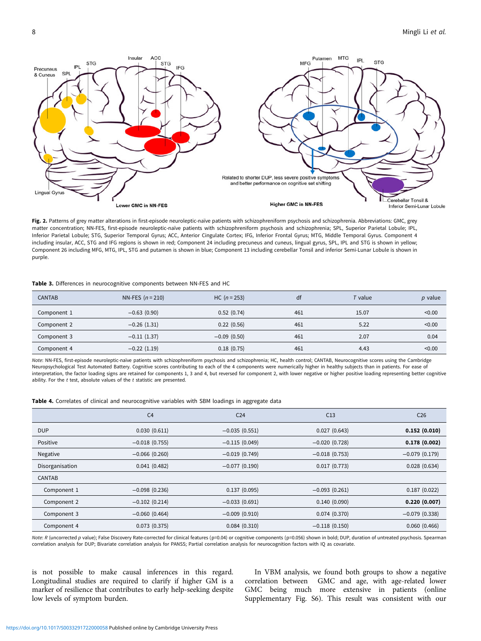<span id="page-7-0"></span>

Fig. 2. Patterns of grey matter alterations in first-episode neuroleptic-naïve patients with schizophreniform psychosis and schizophrenia. Abbreviations: GMC, grey matter concentration; NN-FES, first-episode neuroleptic-naïve patients with schizophreniform psychosis and schizophrenia; SPL, Superior Parietal Lobule; IPL, Inferior Parietal Lobule; STG, Superior Temporal Gyrus; ACC, Anterior Cingulate Cortex; IFG, Inferior Frontal Gyrus; MTG, Middle Temporal Gyrus. Component 4 including insular, ACC, STG and IFG regions is shown in red; Component 24 including precuneus and cuneus, lingual gyrus, SPL, IPL and STG is shown in yellow; Component 26 including MFG, MTG, IPL, STG and putamen is shown in blue; Component 13 including cerebellar Tonsil and inferior Semi-Lunar Lobule is shown in purple.

#### Table 3. Differences in neurocognitive components between NN-FES and HC

| <b>CANTAB</b> | NN-FES $(n = 210)$ | $HC (n = 253)$ | df  | <sup>r</sup> value | $p$ value |
|---------------|--------------------|----------------|-----|--------------------|-----------|
| Component 1   | $-0.63(0.90)$      | 0.52(0.74)     | 461 | 15.07              | < 0.00    |
| Component 2   | $-0.26(1.31)$      | 0.22(0.56)     | 461 | 5.22               | < 0.00    |
| Component 3   | $-0.11(1.37)$      | $-0.09(0.50)$  | 461 | 2.07               | 0.04      |
| Component 4   | $-0.22(1.19)$      | 0.18(0.75)     | 461 | 4.43               | < 0.00    |

Note: NN-FES, first-episode neuroleptic-naïve patients with schizophreniform psychosis and schizophrenia; HC, health control; CANTAB, Neurocognitive scores using the Cambridge Neuropsychological Test Automated Battery. Cognitive scores contributing to each of the 4 components were numerically higher in healthy subjects than in patients. For ease of interpretation, the factor loading signs are retained for components 1, 3 and 4, but reversed for component 2, with lower negative or higher positive loading representing better cognitive ability. For the  $t$  test, absolute values of the  $t$  statistic are presented.

Table 4. Correlates of clinical and neurocognitive variables with SBM loadings in aggregate data

|                 | C <sub>4</sub>  | C <sub>24</sub> | C13             | C <sub>26</sub> |
|-----------------|-----------------|-----------------|-----------------|-----------------|
| <b>DUP</b>      | 0.030(0.611)    | $-0.035(0.551)$ | 0.027(0.643)    | 0.152(0.010)    |
| Positive        | $-0.018(0.755)$ | $-0.115(0.049)$ | $-0.020(0.728)$ | 0.178(0.002)    |
| Negative        | $-0.066(0.260)$ | $-0.019(0.749)$ | $-0.018(0.753)$ | $-0.079(0.179)$ |
| Disorganisation | 0.041(0.482)    | $-0.077(0.190)$ | 0.017(0.773)    | 0.028(0.634)    |
| CANTAB          |                 |                 |                 |                 |
| Component 1     | $-0.098(0.236)$ | 0.137(0.095)    | $-0.093(0.261)$ | 0.187(0.022)    |
| Component 2     | $-0.102(0.214)$ | $-0.033(0.691)$ | 0.140(0.090)    | 0.220(0.007)    |
| Component 3     | $-0.060(0.464)$ | $-0.009(0.910)$ | 0.074(0.370)    | $-0.079(0.338)$ |
| Component 4     | 0.073(0.375)    | 0.084(0.310)    | $-0.118(0.150)$ | 0.060(0.466)    |

Note: R (uncorrected p value); False Discovery Rate-corrected for clinical features (p=0.04) or cognitive components (p=0.056) shown in bold; DUP, duration of untreated psychosis. Spearman correlation analysis for DUP; Bivariate correlation analysis for PANSS; Partial correlation analysis for neurocognition factors with IQ as covariate.

is not possible to make causal inferences in this regard. Longitudinal studies are required to clarify if higher GM is a marker of resilience that contributes to early help-seeking despite low levels of symptom burden.

In VBM analysis, we found both groups to show a negative correlation between GMC and age, with age-related lower GMC being much more extensive in patients (online Supplementary Fig. S6). This result was consistent with our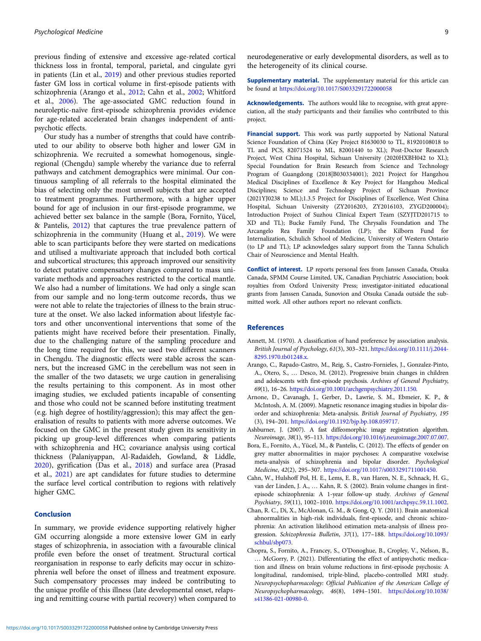<span id="page-8-0"></span>previous finding of extensive and excessive age-related cortical thickness loss in frontal, temporal, parietal, and cingulate gyri in patients (Lin et al., [2019\)](#page-9-0) and other previous studies reported faster GM loss in cortical volume in first-episode patients with schizophrenia (Arango et al., 2012; Cahn et al., 2002; Whitford et al., [2006](#page-10-0)). The age-associated GMC reduction found in neuroleptic-naïve first-episode schizophrenia provides evidence for age-related accelerated brain changes independent of antipsychotic effects.

Our study has a number of strengths that could have contributed to our ability to observe both higher and lower GM in schizophrenia. We recruited a somewhat homogenous, singleregional (Chengdu) sample whereby the variance due to referral pathways and catchment demographics were minimal. Our continuous sampling of all referrals to the hospital eliminated the bias of selecting only the most unwell subjects that are accepted to treatment programmes. Furthermore, with a higher upper bound for age of inclusion in our first-episode programme, we achieved better sex balance in the sample (Bora, Fornito, Yücel, & Pantelis, 2012) that captures the true prevalence pattern of schizophrenia in the community (Huang et al., [2019](#page-9-0)). We were able to scan participants before they were started on medications and utilised a multivariate approach that included both cortical and subcortical structures; this approach improved our sensitivity to detect putative compensatory changes compared to mass univariate methods and approaches restricted to the cortical mantle. We also had a number of limitations. We had only a single scan from our sample and no long-term outcome records, thus we were not able to relate the trajectories of illness to the brain structure at the onset. We also lacked information about lifestyle factors and other unconventional interventions that some of the patients might have received before their presentation. Finally, due to the challenging nature of the sampling procedure and the long time required for this, we used two different scanners in Chengdu. The diagnostic effects were stable across the scanners, but the increased GMC in the cerebellum was not seen in the smaller of the two datasets; we urge caution in generalising the results pertaining to this component. As in most other imaging studies, we excluded patients incapable of consenting and those who could not be scanned before instituting treatment (e.g. high degree of hostility/aggression); this may affect the generalisation of results to patients with more adverse outcomes. We focused on the GMC in the present study given its sensitivity in picking up group-level differences when comparing patients with schizophrenia and HC; covariance analysis using cortical thickness (Palaniyappan, Al-Radaideh, Gowland, & Liddle, [2020\)](#page-9-0), gyrification (Das et al., [2018](#page-9-0)) and surface area (Prasad et al., [2021\)](#page-9-0) are apt candidates for future studies to determine the surface level cortical contribution to regions with relatively higher GMC.

## Conclusion

In summary, we provide evidence supporting relatively higher GM occurring alongside a more extensive lower GM in early stages of schizophrenia, in association with a favourable clinical profile even before the onset of treatment. Structural cortical reorganisation in response to early deficits may occur in schizophrenia well before the onset of illness and treatment exposure. Such compensatory processes may indeed be contributing to the unique profile of this illness (late developmental onset, relapsing and remitting course with partial recovery) when compared to

Supplementary material. The supplementary material for this article can be found at <https://doi.org/10.1017/S0033291722000058>

Acknowledgements. The authors would like to recognise, with great appreciation, all the study participants and their families who contributed to this project.

Financial support. This work was partly supported by National Natural Science Foundation of China (Key Project 81630030 to TL, 81920108018 to TL and PCS, 82071524 to ML, 82001440 to XL); Post-Doctor Research Project, West China Hospital, Sichuan University (2020HXBH042 to XL); Special Foundation for Brain Research from Science and Technology Program of Guangdong (2018|B030334001); 2021 Project for Hangzhou Medical Disciplines of Excellence & Key Project for Hangzhou Medical Disciplines; Science and Technology Project of Sichuan Province (2021YJ0238 to ML);1.3.5 Project for Disciplines of Excellence, West China Hospital, Sichuan University (ZY2016203, ZY2016103, ZYGD200004); Introduction Project of Suzhou Clinical Expert Team (SZYJTD201715 to XD and TL); Bucke Family Fund, The Chrysalis Foundation and The Arcangelo Rea Family Foundation (LP); the Kilborn Fund for Internalization, Schulich School of Medicine, University of Western Ontario (to LP and TL); LP acknowledges salary support from the Tanna Schulich Chair of Neuroscience and Mental Health.

Conflict of interest. LP reports personal fees from Janssen Canada, Otsuka Canada, SPMM Course Limited, UK, Canadian Psychiatric Association; book royalties from Oxford University Press; investigator-initiated educational grants from Janssen Canada, Sunovion and Otsuka Canada outside the submitted work. All other authors report no relevant conflicts.

## References

- Annett, M. (1970). A classification of hand preference by association analysis. British Journal of Psychology, 61(3), 303–321. [https://doi.org/10.1111/j.2044-](https://doi.org/10.1111/j.2044-8295.1970.tb01248.x) [8295.1970.tb01248.x](https://doi.org/10.1111/j.2044-8295.1970.tb01248.x).
- Arango, C., Rapado-Castro, M., Reig, S., Castro-Fornieles, J., Gonzalez-Pinto, A., Otero, S., … Desco, M. (2012). Progressive brain changes in children and adolescents with first-episode psychosis. Archives of General Psychiatry, 69(1), 16–26. <https://doi.org/10.1001/archgenpsychiatry.2011.150>.
- Arnone, D., Cavanagh, J., Gerber, D., Lawrie, S. M., Ebmeier, K. P., & McIntosh, A. M. (2009). Magnetic resonance imaging studies in bipolar disorder and schizophrenia: Meta-analysis. British Journal of Psychiatry, 195 (3), 194–201. [https://doi.org/10.1192/bjp.bp.108.059717.](https://doi.org/10.1192/bjp.bp.108.059717)
- Ashburner, J. (2007). A fast diffeomorphic image registration algorithm. Neuroimage, 38(1), 95–113. [https://doi.org/10.1016/j.neuroimage.2007.07.007.](https://doi.org/10.1016/j.neuroimage.2007.07.007)
- Bora, E., Fornito, A., Yücel, M., & Pantelis, C. (2012). The effects of gender on grey matter abnormalities in major psychoses: A comparative voxelwise meta-analysis of schizophrenia and bipolar disorder. Psychological Medicine, 42(2), 295–307. [https://doi.org/10.1017/s0033291711001450.](https://doi.org/10.1017/s0033291711001450)
- Cahn, W., Hulshoff Pol, H. E., Lems, E. B., van Haren, N. E., Schnack, H. G., van der Linden, J. A., … Kahn, R. S. (2002). Brain volume changes in firstepisode schizophrenia: A 1-year follow-up study. Archives of General Psychiatry, 59(11), 1002–1010. [https://doi.org/10.1001/archpsyc.59.11.1002.](https://doi.org/10.1001/archpsyc.59.11.1002)
- Chan, R. C., Di, X., McAlonan, G. M., & Gong, Q. Y. (2011). Brain anatomical abnormalities in high-risk individuals, first-episode, and chronic schizophrenia: An activation likelihood estimation meta-analysis of illness progression. Schizophrenia Bulletin, 37(1), 177-188. [https://doi.org/10.1093/](https://doi.org/10.1093/schbul/sbp073) [schbul/sbp073.](https://doi.org/10.1093/schbul/sbp073)
- Chopra, S., Fornito, A., Francey, S., O'Donoghue, B., Cropley, V., Nelson, B., … McGorry, P. (2021). Differentiating the effect of antipsychotic medication and illness on brain volume reductions in first-episode psychosis: A longitudinal, randomised, triple-blind, placebo-controlled MRI study. Neuropsychopharmacology: Official Publication of the American College of Neuropsychopharmacology, 46(8), 1494–1501. [https://doi.org/10.1038/](https://doi.org/10.1038/s41386-021-00980-0.) [s41386-021-00980-0.](https://doi.org/10.1038/s41386-021-00980-0.)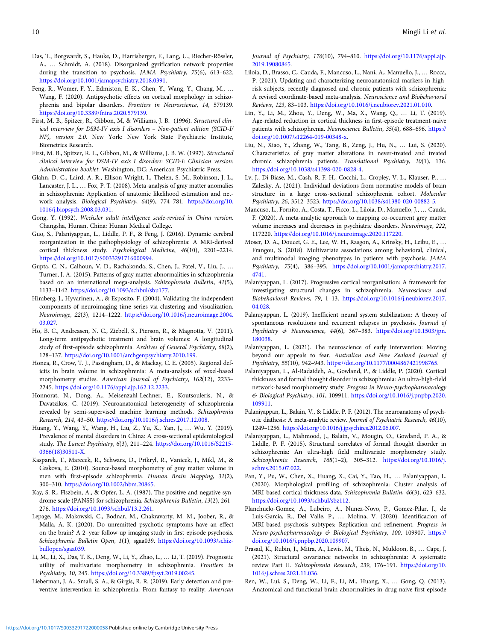- <span id="page-9-0"></span>Das, T., Borgwardt, S., Hauke, D., Harrisberger, F., Lang, U., Riecher-Rössler, A., … Schmidt, A. (2018). Disorganized gyrification network properties during the transition to psychosis. JAMA Psychiatry, 75(6), 613–622. <https://doi.org/10.1001/jamapsychiatry.2018.0391>.
- Feng, R., Womer, F. Y., Edmiston, E. K., Chen, Y., Wang, Y., Chang, M., … Wang, F. (2020). Antipsychotic effects on cortical morphology in schizophrenia and bipolar disorders. Frontiers in Neuroscience, 14, 579139. [https://doi.org/10.3389/fnins.2020.579139.](https://doi.org/10.3389/fnins.2020.579139)
- First, M. B., Spitzer, R., Gibbon, M, & Williams, J. B. (1996). Structured clinical interview for DSM-IV axis I disorders – Non-patient edition (SCID-I/ NP), version 2.0. New York: New York State Psychiatric Institute, Biometrics Research.
- First, M. B., Spitzer, R. L., Gibbon, M., & Williams, J. B. W. (1997). Structured clinical interview for DSM-IV axis I disorders: SCID-I: Clinician version: Administration booklet. Washington, DC: American Psychiatric Press.
- Glahn, D. C., Laird, A. R., Ellison-Wright, I., Thelen, S. M., Robinson, J. L., Lancaster, J. L., … Fox, P. T. (2008). Meta-analysis of gray matter anomalies in schizophrenia: Application of anatomic likelihood estimation and network analysis. Biological Psychiatry, 64(9), 774–781. [https://doi.org/10.](https://doi.org/10.1016/j.biopsych.2008.03.031) [1016/j.biopsych.2008.03.031](https://doi.org/10.1016/j.biopsych.2008.03.031).
- Gong, Y. (1992). Wechsler adult intelligence scale-revised in China version. Changsha, Hunan, China: Hunan Medical College.
- Guo, S., Palaniyappan, L., Liddle, P. F., & Feng, J. (2016). Dynamic cerebral reorganization in the pathophysiology of schizophrenia: A MRI-derived cortical thickness study. Psychological Medicine, 46(10), 2201–2214. <https://doi.org/10.1017/S0033291716000994>.
- Gupta, C. N., Calhoun, V. D., Rachakonda, S., Chen, J., Patel, V., Liu, J., … Turner, J. A. (2015). Patterns of gray matter abnormalities in schizophrenia based on an international mega-analysis. Schizophrenia Bulletin, 41(5), 1133–1142. [https://doi.org/10.1093/schbul/sbu177.](https://doi.org/10.1093/schbul/sbu177)
- Himberg, J., Hyvarinen, A., & Esposito, F. (2004). Validating the independent components of neuroimaging time series via clustering and visualization. Neuroimage, 22(3), 1214–1222. [https://doi.org/10.1016/j.neuroimage.2004.](https://doi.org/10.1016/j.neuroimage.2004.03.027) [03.027.](https://doi.org/10.1016/j.neuroimage.2004.03.027)
- Ho, B. C., Andreasen, N. C., Ziebell, S., Pierson, R., & Magnotta, V. (2011). Long-term antipsychotic treatment and brain volumes: A longitudinal study of first-episode schizophrenia. Archives of General Psychiatry, 68(2), 128–137. <https://doi.org/10.1001/archgenpsychiatry.2010.199>.
- Honea, R., Crow, T. J., Passingham, D., & Mackay, C. E. (2005). Regional deficits in brain volume in schizophrenia: A meta-analysis of voxel-based morphometry studies. American Journal of Psychiatry, 162(12), 2233– 2245. [https://doi.org/10.1176/appi.ajp.162.12.2233.](https://doi.org/10.1176/appi.ajp.162.12.2233)
- Honnorat, N., Dong, A., Meisenzahl-Lechner, E., Koutsouleris, N., & Davatzikos, C. (2019). Neuroanatomical heterogeneity of schizophrenia revealed by semi-supervised machine learning methods. Schizophrenia Research, 214, 43–50. <https://doi.org/10.1016/j.schres.2017.12.008>.
- Huang, Y., Wang, Y., Wang, H., Liu, Z., Yu, X., Yan, J., … Wu, Y. (2019). Prevalence of mental disorders in China: A cross-sectional epidemiological study. The Lancet Psychiatry, 6(3), 211–224. [https://doi.org/10.1016/S2215-](https://doi.org/10.1016/S2215-0366(18)30511-X) [0366\(18\)30511-X](https://doi.org/10.1016/S2215-0366(18)30511-X).
- Kasparek, T., Marecek, R., Schwarz, D., Prikryl, R., Vanicek, J., Mikl, M., & Ceskova, E. (2010). Source-based morphometry of gray matter volume in men with first-episode schizophrenia. Human Brain Mapping, 31(2), 300–310. <https://doi.org/10.1002/hbm.20865>.
- Kay, S. R., Flszbein, A., & Opfer, L. A. (1987). The positive and negative syndrome scale (PANSS) for schizophrenia. Schizophrenia Bulletin, 13(2), 261– 276. [https://doi.org/10.1093/schbul/13.2.261.](https://doi.org/10.1093/schbul/13.2.261)
- Lepage, M., Makowski, C., Bodnar, M., Chakravarty, M. M., Joober, R., & Malla, A. K. (2020). Do unremitted psychotic symptoms have an effect on the brain? A 2–year follow-up imaging study in first-episode psychosis. Schizophrenia Bulletin Open, 1(1), sgaa039. [https://doi.org/10.1093/schiz](https://doi.org/10.1093/schizbullopen/sgaa039)[bullopen/sgaa039](https://doi.org/10.1093/schizbullopen/sgaa039).
- Li, M., Li, X., Das, T. K., Deng, W., Li, Y., Zhao, L., … Li, T. (2019). Prognostic utility of multivariate morphometry in schizophrenia. Frontiers in Psychiatry, 10, 245. [https://doi.org/10.3389/fpsyt.2019.00245.](https://doi.org/10.3389/fpsyt.2019.00245)
- Lieberman, J. A., Small, S. A., & Girgis, R. R. (2019). Early detection and preventive intervention in schizophrenia: From fantasy to reality. American

Journal of Psychiatry, 176(10), 794–810. [https://doi.org/10.1176/appi.ajp.](https://doi.org/10.1176/appi.ajp.2019.19080865) [2019.19080865.](https://doi.org/10.1176/appi.ajp.2019.19080865)

- Liloia, D., Brasso, C., Cauda, F., Mancuso, L., Nani, A., Manuello, J., … Rocca, P. (2021). Updating and characterizing neuroanatomical markers in highrisk subjects, recently diagnosed and chronic patients with schizophrenia: A revised coordinate-based meta-analysis. Neuroscience and Biobehavioral Reviews, 123, 83–103. [https://doi.org/10.1016/j.neubiorev.2021.01.010.](https://doi.org/10.1016/j.neubiorev.2021.01.010)
- Lin, Y., Li, M., Zhou, Y., Deng, W., Ma, X., Wang, Q., … Li, T. (2019). Age-related reduction in cortical thickness in first-episode treatment-naive patients with schizophrenia. Neuroscience Bulletin, 35(4), 688-696. [https://](https://doi.org/10.1007/s12264-019-00348-x) [doi.org/10.1007/s12264-019-00348-x](https://doi.org/10.1007/s12264-019-00348-x).
- Liu, N., Xiao, Y., Zhang, W., Tang, B., Zeng, J., Hu, N., … Lui, S. (2020). Characteristics of gray matter alterations in never-treated and treated chronic schizophrenia patients. Translational Psychiatry, 10(1), 136. [https://doi.org/10.1038/s41398-020-0828-4.](https://doi.org/10.1038/s41398-020-0828-4)
- Lv, J., Di Biase, M., Cash, R. F. H., Cocchi, L., Cropley, V. L., Klauser, P., … Zalesky, A. (2021). Individual deviations from normative models of brain structure in a large cross-sectional schizophrenia cohort. Molecular Psychiatry, 26, 3512–3523. <https://doi.org/10.1038/s41380-020-00882-5>.
- Mancuso, L., Fornito, A., Costa, T., Ficco, L., Liloia, D., Manuello, J., … Cauda, F. (2020). A meta-analytic approach to mapping co-occurrent grey matter volume increases and decreases in psychiatric disorders. Neuroimage, 222, 117220. <https://doi.org/10.1016/j.neuroimage.2020.117220>.
- Moser, D. A., Doucet, G. E., Lee, W. H., Rasgon, A., Krinsky, H., Leibu, E., … Frangou, S. (2018). Multivariate associations among behavioral, clinical, and multimodal imaging phenotypes in patients with psychosis. JAMA Psychiatry, 75(4), 386–395. [https://doi.org/10.1001/jamapsychiatry.2017.](https://doi.org/10.1001/jamapsychiatry.2017.4741) [4741.](https://doi.org/10.1001/jamapsychiatry.2017.4741)
- Palaniyappan, L. (2017). Progressive cortical reorganisation: A framework for investigating structural changes in schizophrenia. Neuroscience and Biobehavioral Reviews, 79, 1–13. [https://doi.org/10.1016/j.neubiorev.2017.](https://doi.org/10.1016/j.neubiorev.2017.04.028) [04.028](https://doi.org/10.1016/j.neubiorev.2017.04.028).
- Palaniyappan, L. (2019). Inefficient neural system stabilization: A theory of spontaneous resolutions and recurrent relapses in psychosis. Journal of Psychiatry & Neuroscience, 44(6), 367–383. [https://doi.org/10.1503/jpn.](https://doi.org/10.1503/jpn.180038) [180038](https://doi.org/10.1503/jpn.180038).
- Palaniyappan, L. (2021). The neuroscience of early intervention: Moving beyond our appeals to fear. Australian and New Zealand Journal of Psychiatry, 55(10), 942–943. [https://doi.org/10.1177/0004867421998765.](https://doi.org/10.1177/0004867421998765)
- Palaniyappan, L., Al-Radaideh, A., Gowland, P., & Liddle, P. (2020). Cortical thickness and formal thought disorder in schizophrenia: An ultra-high-field network-based morphometry study. Progress in Neuro-psychopharmacology & Biological Psychiatry, 101, 109911. [https://doi.org/10.1016/j.pnpbp.2020.](https://doi.org/10.1016/j.pnpbp.2020.109911) [109911](https://doi.org/10.1016/j.pnpbp.2020.109911).
- Palaniyappan, L., Balain, V., & Liddle, P. F. (2012). The neuroanatomy of psychotic diathesis: A meta-analytic review. Journal of Psychiatric Research, 46(10), 1249–1256. [https://doi.org/10.1016/j.jpsychires.2012.06.007.](https://doi.org/10.1016/j.jpsychires.2012.06.007)
- Palaniyappan, L., Mahmood, J., Balain, V., Mougin, O., Gowland, P. A., & Liddle, P. F. (2015). Structural correlates of formal thought disorder in schizophrenia: An ultra-high field multivariate morphometry study. Schizophrenia Research, 168(1–2), 305–312. [https://doi.org/10.1016/j.](https://doi.org/10.1016/j.schres.2015.07.022) [schres.2015.07.022](https://doi.org/10.1016/j.schres.2015.07.022).
- Pan, Y., Pu, W., Chen, X., Huang, X., Cai, Y., Tao, H., … Palaniyappan, L. (2020). Morphological profiling of schizophrenia: Cluster analysis of MRI-based cortical thickness data. Schizophrenia Bulletin, 46(3), 623–632. [https://doi.org/10.1093/schbul/sbz112.](https://doi.org/10.1093/schbul/sbz112)
- Planchuelo-Gomez, A., Lubeiro, A., Nunez-Novo, P., Gomez-Pilar, J., de Luis-Garcia, R., Del Valle, P., … Molina, V. (2020). Identificacion of MRI-based psychosis subtypes: Replication and refinement. Progress in Neuro-psychopharmacology & Biological Psychiatry, 100, 109907. [https://](https://doi.org/10.1016/j.pnpbp.2020.109907) [doi.org/10.1016/j.pnpbp.2020.109907.](https://doi.org/10.1016/j.pnpbp.2020.109907)
- Prasad, K., Rubin, J., Mitra, A., Lewis, M., Theis, N., Muldoon, B., … Cape, J. (2021). Structural covariance networks in schizophrenia: A systematic review Part II. Schizophrenia Research, 239, 176–191. [https://doi.org/10.](https://doi.org/10.1016/j.schres.2021.11.036) [1016/j.schres.2021.11.036.](https://doi.org/10.1016/j.schres.2021.11.036)
- Ren, W., Lui, S., Deng, W., Li, F., Li, M., Huang, X., … Gong, Q. (2013). Anatomical and functional brain abnormalities in drug-naive first-episode